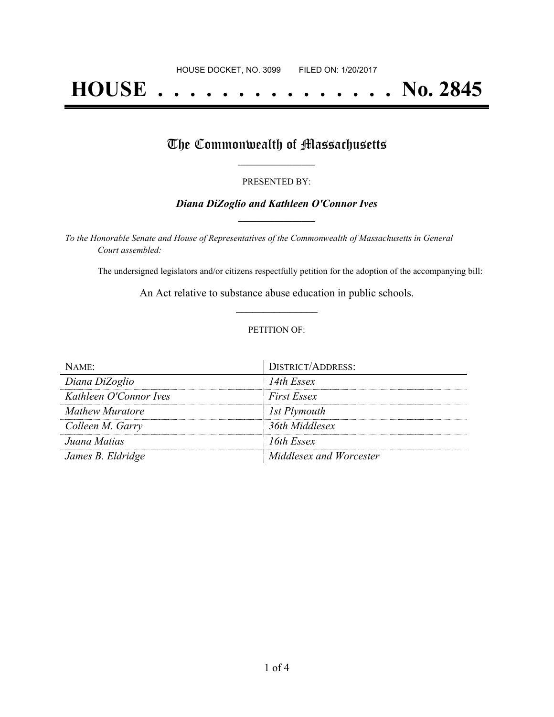# **HOUSE . . . . . . . . . . . . . . . No. 2845**

## The Commonwealth of Massachusetts

#### PRESENTED BY:

#### *Diana DiZoglio and Kathleen O'Connor Ives* **\_\_\_\_\_\_\_\_\_\_\_\_\_\_\_\_\_**

*To the Honorable Senate and House of Representatives of the Commonwealth of Massachusetts in General Court assembled:*

The undersigned legislators and/or citizens respectfully petition for the adoption of the accompanying bill:

An Act relative to substance abuse education in public schools. **\_\_\_\_\_\_\_\_\_\_\_\_\_\_\_**

#### PETITION OF:

| $N$ ame $\cdot$        | <b>DISTRICT/ADDRESS:</b> |
|------------------------|--------------------------|
| Diana DiZoglio         | 14th Essex               |
| Kathleen O'Connor Ives | <b>First Essex</b>       |
| Mathew Muratore        | 1st Plymouth             |
| Colleen M. Garry       | 36th Middlesex           |
| Juana Matias           | 16th Essex               |
| James B. Eldridge      | Middlesex and Worcester  |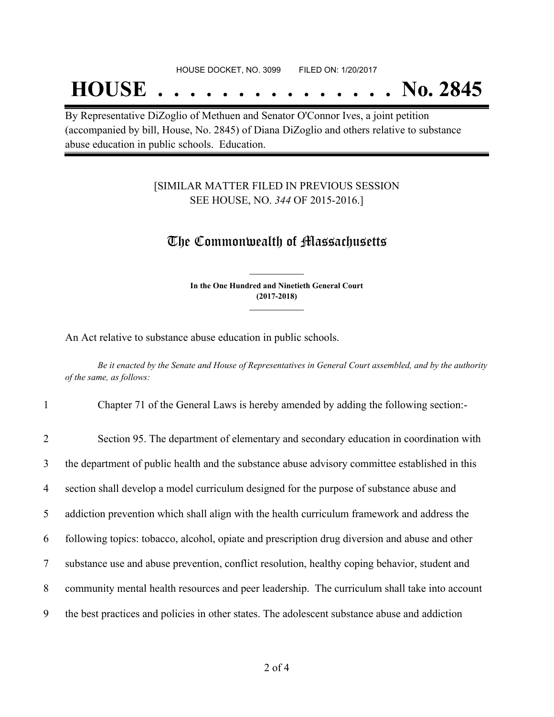#### HOUSE DOCKET, NO. 3099 FILED ON: 1/20/2017

## **HOUSE . . . . . . . . . . . . . . . No. 2845**

By Representative DiZoglio of Methuen and Senator O'Connor Ives, a joint petition (accompanied by bill, House, No. 2845) of Diana DiZoglio and others relative to substance abuse education in public schools. Education.

### [SIMILAR MATTER FILED IN PREVIOUS SESSION SEE HOUSE, NO. *344* OF 2015-2016.]

## The Commonwealth of Massachusetts

**In the One Hundred and Ninetieth General Court (2017-2018) \_\_\_\_\_\_\_\_\_\_\_\_\_\_\_**

**\_\_\_\_\_\_\_\_\_\_\_\_\_\_\_**

An Act relative to substance abuse education in public schools.

Be it enacted by the Senate and House of Representatives in General Court assembled, and by the authority *of the same, as follows:*

1 Chapter 71 of the General Laws is hereby amended by adding the following section:-

| $\overline{2}$  | Section 95. The department of elementary and secondary education in coordination with          |
|-----------------|------------------------------------------------------------------------------------------------|
| 3               | the department of public health and the substance abuse advisory committee established in this |
| $\overline{4}$  | section shall develop a model curriculum designed for the purpose of substance abuse and       |
| 5 <sup>5</sup>  | addiction prevention which shall align with the health curriculum framework and address the    |
| 6               | following topics: tobacco, alcohol, opiate and prescription drug diversion and abuse and other |
| $7\phantom{.0}$ | substance use and abuse prevention, conflict resolution, healthy coping behavior, student and  |
| 8               | community mental health resources and peer leadership. The curriculum shall take into account  |
| 9               | the best practices and policies in other states. The adolescent substance abuse and addiction  |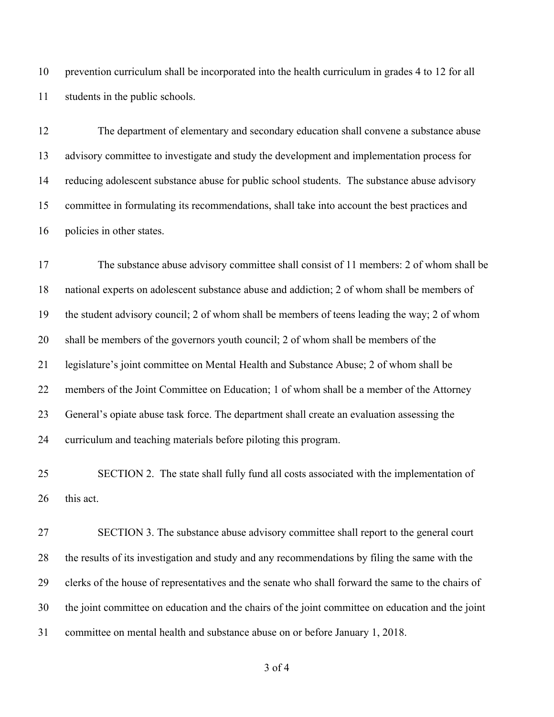prevention curriculum shall be incorporated into the health curriculum in grades 4 to 12 for all students in the public schools.

 The department of elementary and secondary education shall convene a substance abuse advisory committee to investigate and study the development and implementation process for reducing adolescent substance abuse for public school students. The substance abuse advisory committee in formulating its recommendations, shall take into account the best practices and policies in other states.

 The substance abuse advisory committee shall consist of 11 members: 2 of whom shall be national experts on adolescent substance abuse and addiction; 2 of whom shall be members of the student advisory council; 2 of whom shall be members of teens leading the way; 2 of whom shall be members of the governors youth council; 2 of whom shall be members of the legislature's joint committee on Mental Health and Substance Abuse; 2 of whom shall be members of the Joint Committee on Education; 1 of whom shall be a member of the Attorney General's opiate abuse task force. The department shall create an evaluation assessing the curriculum and teaching materials before piloting this program.

 SECTION 2. The state shall fully fund all costs associated with the implementation of this act.

 SECTION 3. The substance abuse advisory committee shall report to the general court the results of its investigation and study and any recommendations by filing the same with the clerks of the house of representatives and the senate who shall forward the same to the chairs of the joint committee on education and the chairs of the joint committee on education and the joint committee on mental health and substance abuse on or before January 1, 2018.

of 4